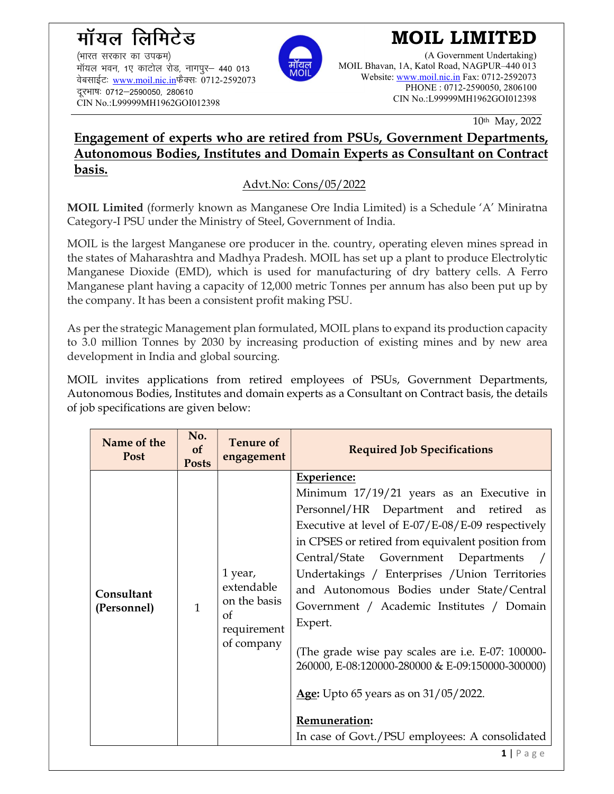**मॉयल लिमिटेड**<br>(भारत सरकार का उपक्रम)<br>मॉयल भवन, 1ए काटोल रोड, नागपुर- 440 013<br>वेबसाईट: www.moil.nic.inफैक्स: 0712-2592073<br>दूरभाष: 0712-2590050, 280610 **मॉयल लिमिटेड**<br>(भारत सरकार का उपक्रम)<br>मॉयल भवन, 1ए काटोल रोड, नागपुर- 440 013<br>वेबसाईट: <u>www.moil.nic.in</u>फैक्स: 0712-2592073<br>दूरभाष: 0712-2590050, 280610<br>CIN No.:L99999MH1962GOI012398 **मॉयल लिमिटेड**<br>(भारत सरकार का उपक्रम)<br>मॉयल भवन, 1ए काटोल रोड, नागपुर- 440 013<br>वेबसाईटः <u>www.moil.nic.in</u>फैक्सः 0712-2592073<br>दूरभाषः 0712-2590050, 280610<br>CIN No.:L99999MH1962GOI012398 दूरभाषः 0712-2590050, 280610 CIN No.:L99999MH1962GOI012398



# MOIL LIMITED

(A Government Undertaking) MOIL Bhavan, 1A, Katol Road, NAGPUR–440 013 Website: www.moil.nic.in Fax: 0712-2592073 PHONE : 0712-2590050, 2806100 CIN No.:L99999MH1962GOI012398

10th May, 2022

# Engagement of experts who are retired from PSUs, Government Departments, Autonomous Bodies, Institutes and Domain Experts as Consultant on Contract basis.

## Advt.No: Cons/05/2022

MOIL Limited (formerly known as Manganese Ore India Limited) is a Schedule 'A' Miniratna Category-I PSU under the Ministry of Steel, Government of India.

MOIL is the largest Manganese ore producer in the. country, operating eleven mines spread in the states of Maharashtra and Madhya Pradesh. MOIL has set up a plant to produce Electrolytic Manganese Dioxide (EMD), which is used for manufacturing of dry battery cells. A Ferro Manganese plant having a capacity of 12,000 metric Tonnes per annum has also been put up by the company. It has been a consistent profit making PSU.

As per the strategic Management plan formulated, MOIL plans to expand its production capacity to 3.0 million Tonnes by 2030 by increasing production of existing mines and by new area development in India and global sourcing.

MOIL invites applications from retired employees of PSUs, Government Departments, Autonomous Bodies, Institutes and domain experts as a Consultant on Contract basis, the details of job specifications are given below:

| Name of the<br>Post       | No.<br><b>of</b><br><b>Posts</b> | <b>Tenure of</b><br>engagement                                           | <b>Required Job Specifications</b>                                                                                                                                                                                                                                                                                                                                                                                                                                                                                                                                                                                                              |  |
|---------------------------|----------------------------------|--------------------------------------------------------------------------|-------------------------------------------------------------------------------------------------------------------------------------------------------------------------------------------------------------------------------------------------------------------------------------------------------------------------------------------------------------------------------------------------------------------------------------------------------------------------------------------------------------------------------------------------------------------------------------------------------------------------------------------------|--|
| Consultant<br>(Personnel) | $\mathbf{1}$                     | 1 year,<br>extendable<br>on the basis<br>of<br>requirement<br>of company | <b>Experience:</b><br>Minimum $17/19/21$ years as an Executive in<br>Personnel/HR Department and retired as<br>Executive at level of E-07/E-08/E-09 respectively<br>in CPSES or retired from equivalent position from<br>Central/State Government Departments<br>Undertakings / Enterprises / Union Territories<br>and Autonomous Bodies under State/Central<br>Government / Academic Institutes / Domain<br>Expert.<br>(The grade wise pay scales are i.e. E-07: 100000-<br>260000, E-08:120000-280000 & E-09:150000-300000)<br>Age: Upto 65 years as on 31/05/2022.<br><b>Remuneration:</b><br>In case of Govt./PSU employees: A consolidated |  |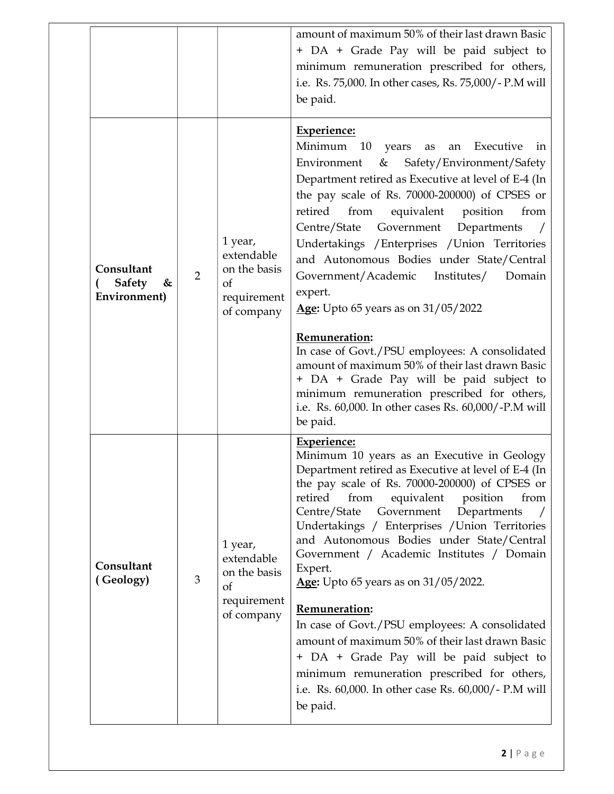|                                                  |                |                                                                                | amount of maximum 50% of their last drawn Basic<br>+ DA + Grade Pay will be paid subject to<br>minimum remuneration prescribed for others,<br>i.e. Rs. 75,000. In other cases, Rs. 75,000/- P.M will<br>be paid.                                                                                                                                                                                                                                                                                                                                                                                                                                                                                                                                                                                     |
|--------------------------------------------------|----------------|--------------------------------------------------------------------------------|------------------------------------------------------------------------------------------------------------------------------------------------------------------------------------------------------------------------------------------------------------------------------------------------------------------------------------------------------------------------------------------------------------------------------------------------------------------------------------------------------------------------------------------------------------------------------------------------------------------------------------------------------------------------------------------------------------------------------------------------------------------------------------------------------|
| Consultant<br><b>Safety</b><br>&<br>Environment) | $\overline{2}$ | 1 year,<br>extendable<br>on the basis<br>$\sigma$<br>requirement<br>of company | <b>Experience:</b><br>Minimum 10 years as<br>an Executive<br>in<br>Environment &<br>Safety/Environment/Safety<br>Department retired as Executive at level of E-4 (In<br>the pay scale of Rs. 70000-200000) of CPSES or<br>retired<br>from<br>equivalent position<br>from<br>Centre/State Government Departments<br>Undertakings / Enterprises / Union Territories<br>and Autonomous Bodies under State/Central<br>Government/Academic Institutes/<br>Domain<br>expert.<br>Age: Upto 65 years as on $31/05/2022$<br>Remuneration:<br>In case of Govt./PSU employees: A consolidated<br>amount of maximum 50% of their last drawn Basic<br>+ DA + Grade Pay will be paid subject to<br>minimum remuneration prescribed for others,<br>i.e. Rs. 60,000. In other cases Rs. 60,000/-P.M will<br>be paid. |
| Consultant<br>(Geology)                          | 3              | 1 year,<br>extendable<br>on the basis<br>of<br>requirement<br>of company       | <b>Experience:</b><br>Minimum 10 years as an Executive in Geology<br>Department retired as Executive at level of E-4 (In<br>the pay scale of Rs. 70000-200000) of CPSES or<br>retired<br>equivalent position<br>from<br>from<br>Centre/State<br>Government<br>Departments<br>Undertakings / Enterprises / Union Territories<br>and Autonomous Bodies under State/Central<br>Government / Academic Institutes / Domain<br>Expert.<br>Age: Upto 65 years as on 31/05/2022.<br>Remuneration:<br>In case of Govt./PSU employees: A consolidated<br>amount of maximum 50% of their last drawn Basic<br>+ DA + Grade Pay will be paid subject to<br>minimum remuneration prescribed for others,<br>i.e. Rs. 60,000. In other case Rs. 60,000/- P.M will<br>be paid.                                        |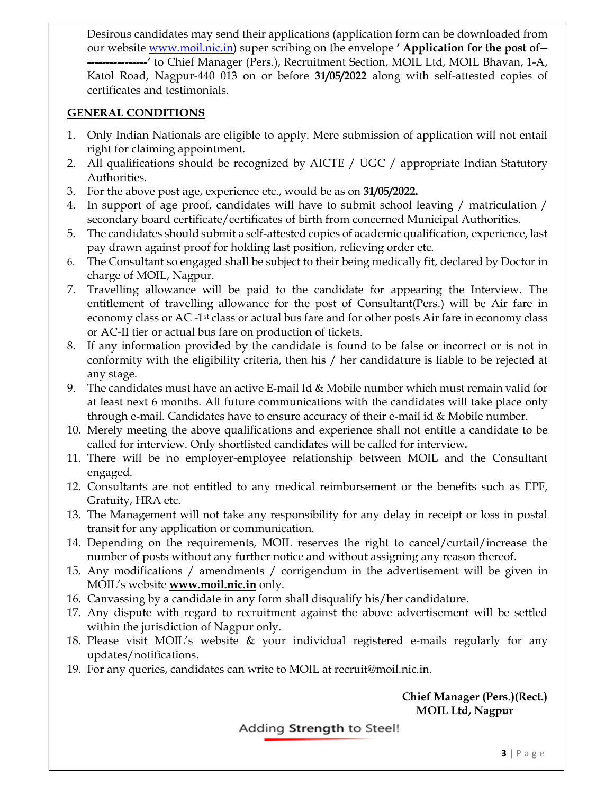Desirous candidates may send their applications (application form can be downloaded from our website www.moil.nic.in) super scribing on the envelope ' Application for the post of-- -------' to Chief Manager (Pers.), Recruitment Section, MOIL Ltd, MOIL Bhavan, 1-A, Katol Road, Nagpur-440 013 on or before 31/05/2022 along with self-attested copies of certificates and testimonials.

#### GENERAL CONDITIONS

- 1. Only Indian Nationals are eligible to apply. Mere submission of application will not entail right for claiming appointment.
- 2. All qualifications should be recognized by AICTE / UGC / appropriate Indian Statutory Authorities.
- 3. For the above post age, experience etc., would be as on 31/05/2022.
- 4. In support of age proof, candidates will have to submit school leaving / matriculation / secondary board certificate/certificates of birth from concerned Municipal Authorities.
- 5. The candidates should submit a self-attested copies of academic qualification, experience, last pay drawn against proof for holding last position, relieving order etc.
- 6. The Consultant so engaged shall be subject to their being medically fit, declared by Doctor in charge of MOIL, Nagpur.
- 7. Travelling allowance will be paid to the candidate for appearing the Interview. The entitlement of travelling allowance for the post of Consultant(Pers.) will be Air fare in economy class or AC -1st class or actual bus fare and for other posts Air fare in economy class or AC-II tier or actual bus fare on production of tickets.
- 8. If any information provided by the candidate is found to be false or incorrect or is not in conformity with the eligibility criteria, then his / her candidature is liable to be rejected at any stage.
- 9. The candidates must have an active E-mail Id & Mobile number which must remain valid for at least next 6 months. All future communications with the candidates will take place only through e-mail. Candidates have to ensure accuracy of their e-mail id & Mobile number.
- 10. Merely meeting the above qualifications and experience shall not entitle a candidate to be called for interview. Only shortlisted candidates will be called for interview.
- 11. There will be no employer-employee relationship between MOIL and the Consultant engaged.
- 12. Consultants are not entitled to any medical reimbursement or the benefits such as EPF, Gratuity, HRA etc.
- 13. The Management will not take any responsibility for any delay in receipt or loss in postal transit for any application or communication.
- 14. Depending on the requirements, MOIL reserves the right to cancel/curtail/increase the number of posts without any further notice and without assigning any reason thereof.
- 15. Any modifications / amendments / corrigendum in the advertisement will be given in MOIL's website **www.moil.nic.in** only.
- 16. Canvassing by a candidate in any form shall disqualify his/her candidature.
- 17. Any dispute with regard to recruitment against the above advertisement will be settled within the jurisdiction of Nagpur only.
- 18. Please visit MOIL's website & your individual registered e-mails regularly for any updates/notifications.
- 19. For any queries, candidates can write to MOIL at recruit@moil.nic.in.

### Chief Manager (Pers.)(Rect.) MOIL Ltd, Nagpur

Adding Strength to Steel!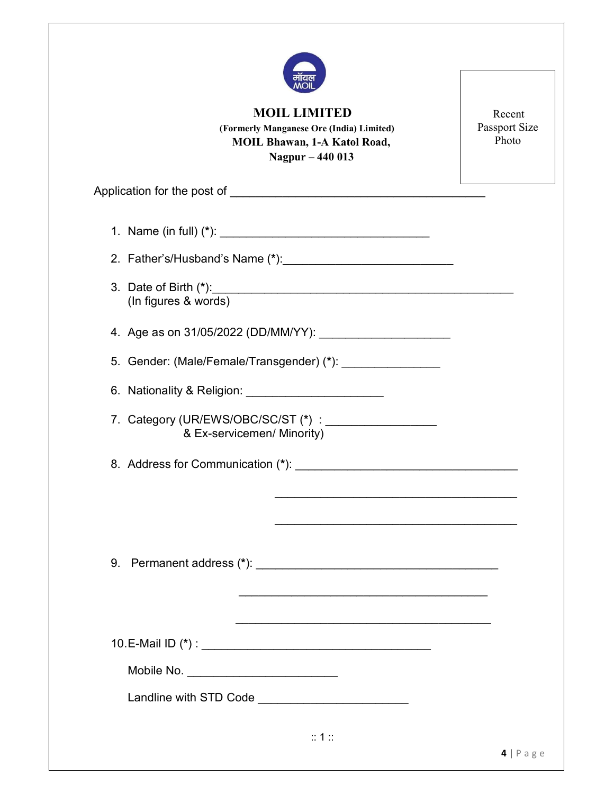| <b>MOIL LIMITED</b><br>(Formerly Manganese Ore (India) Limited)<br><b>MOIL Bhawan, 1-A Katol Road,</b><br>Nagpur - 440 013 | Recent<br>Passport Size<br>Photo |
|----------------------------------------------------------------------------------------------------------------------------|----------------------------------|
|                                                                                                                            |                                  |
|                                                                                                                            |                                  |
|                                                                                                                            |                                  |
| (In figures & words)                                                                                                       |                                  |
|                                                                                                                            |                                  |
| 5. Gender: (Male/Female/Transgender) (*): _________________                                                                |                                  |
|                                                                                                                            |                                  |
| & Ex-servicemen/ Minority)                                                                                                 |                                  |
|                                                                                                                            |                                  |
| <u> 1989 - Johann John Stoff, deutscher Stoffen und der Stoffen und der Stoffen und der Stoffen und der Stoffen u</u>      |                                  |
|                                                                                                                            |                                  |
| Mobile No. ______________________________                                                                                  |                                  |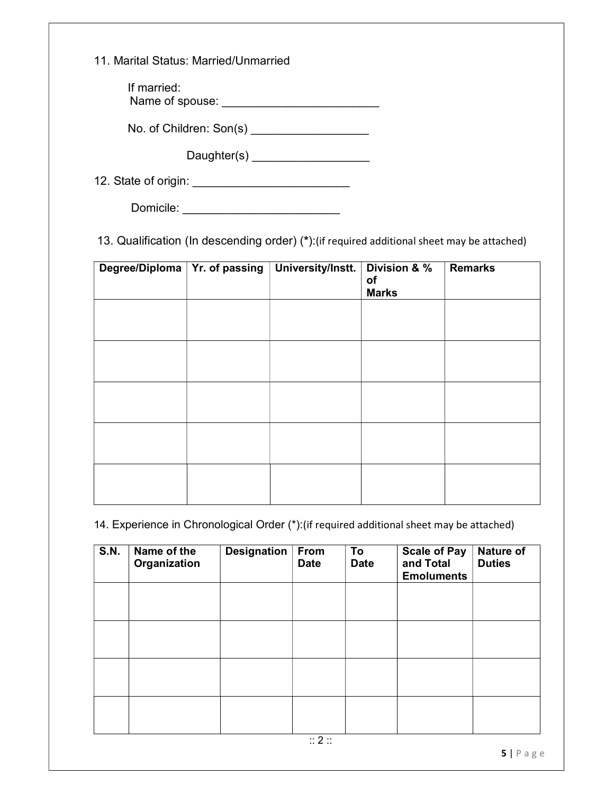11. Marital Status: Married/Unmarried

If married: Name of spouse: \_\_\_\_\_\_\_\_\_\_\_\_\_\_\_\_\_\_\_\_\_\_\_\_

No. of Children: Son(s) \_\_\_\_\_\_\_\_\_\_\_\_\_\_\_\_\_\_

Daughter(s) \_\_\_\_\_\_\_\_\_\_\_\_\_\_\_\_\_\_\_\_\_\_\_\_

12. State of origin: \_\_\_\_\_\_\_\_\_\_\_\_\_\_\_\_\_\_\_\_\_\_\_\_

Domicile: \_\_\_\_\_\_\_\_\_\_\_\_\_\_\_\_\_\_\_\_\_\_\_\_

13. Qualification (In descending order) (\*):(if required additional sheet may be attached)

| Degree/Diploma <sup>T</sup> Yr. of passing | University/Instt. | Division & %<br>of<br><b>Marks</b> | <b>Remarks</b> |
|--------------------------------------------|-------------------|------------------------------------|----------------|
|                                            |                   |                                    |                |
|                                            |                   |                                    |                |
|                                            |                   |                                    |                |
|                                            |                   |                                    |                |
|                                            |                   |                                    |                |

14. Experience in Chronological Order (\*):(if required additional sheet may be attached)

| Name of the<br>Organization | <b>Designation</b> | <b>Date</b> | <b>Date</b> | <b>Scale of Pay</b><br>and Total<br><b>Emoluments</b> | <b>Nature of</b><br><b>Duties</b> |
|-----------------------------|--------------------|-------------|-------------|-------------------------------------------------------|-----------------------------------|
|                             |                    |             |             |                                                       |                                   |
|                             |                    |             |             |                                                       |                                   |
|                             |                    |             |             |                                                       |                                   |
|                             |                    |             |             |                                                       |                                   |
|                             |                    |             |             | From<br>To<br>$\mathbb{Z}$ 2 $\mathbb{Z}$             |                                   |